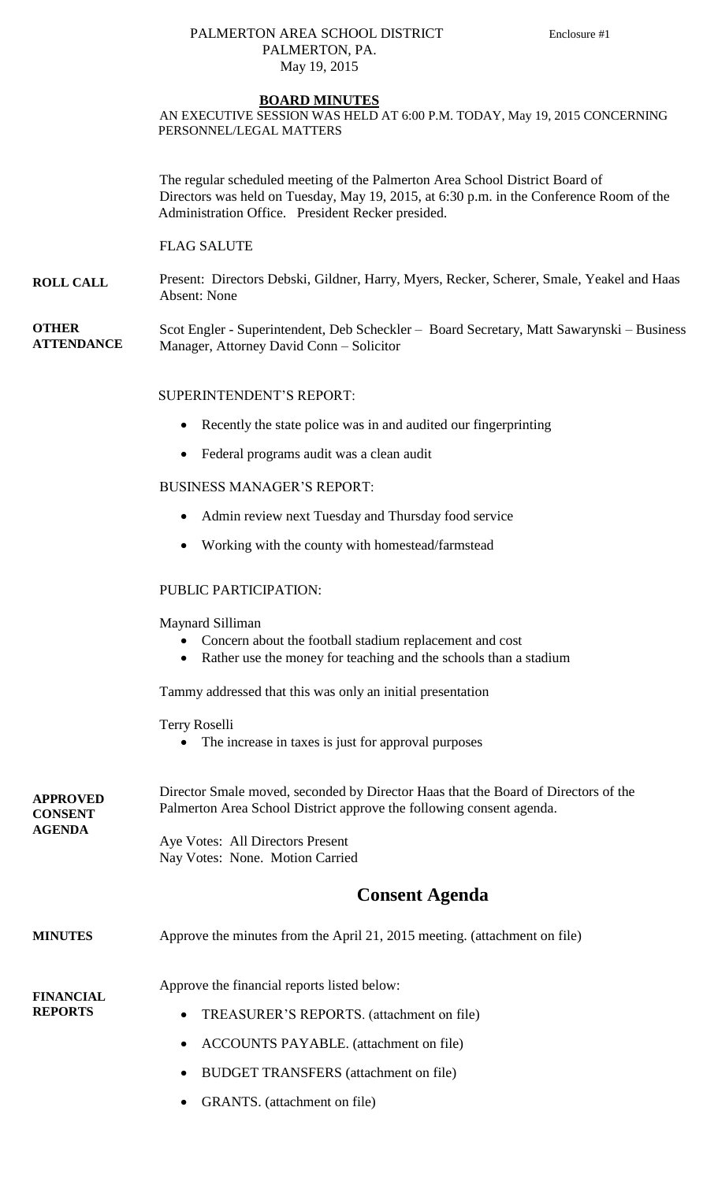## PALMERTON AREA SCHOOL DISTRICT Enclosure #1 PALMERTON, PA. May 19, 2015

#### **BOARD MINUTES**

AN EXECUTIVE SESSION WAS HELD AT 6:00 P.M. TODAY, May 19, 2015 CONCERNING PERSONNEL/LEGAL MATTERS

The regular scheduled meeting of the Palmerton Area School District Board of Directors was held on Tuesday, May 19, 2015, at 6:30 p.m. in the Conference Room of the Administration Office. President Recker presided.

FLAG SALUTE

**ROLL CALL** Present: Directors Debski, Gildner, Harry, Myers, Recker, Scherer, Smale, Yeakel and Haas Absent: None

**OTHER ATTENDANCE** Scot Engler - Superintendent, Deb Scheckler – Board Secretary, Matt Sawarynski – Business Manager, Attorney David Conn – Solicitor

### SUPERINTENDENT'S REPORT:

- Recently the state police was in and audited our fingerprinting
- Federal programs audit was a clean audit

### BUSINESS MANAGER'S REPORT:

- Admin review next Tuesday and Thursday food service
- Working with the county with homestead/farmstead

#### PUBLIC PARTICIPATION:

Maynard Silliman

- Concern about the football stadium replacement and cost
- Rather use the money for teaching and the schools than a stadium

Tammy addressed that this was only an initial presentation

Terry Roselli

The increase in taxes is just for approval purposes

| <b>APPROVED</b><br><b>CONSENT</b><br><b>AGENDA</b> | Director Smale moved, seconded by Director Haas that the Board of Directors of the<br>Palmerton Area School District approve the following consent agenda. |
|----------------------------------------------------|------------------------------------------------------------------------------------------------------------------------------------------------------------|
|                                                    | Aye Votes: All Directors Present                                                                                                                           |
|                                                    | Nay Votes: None. Motion Carried                                                                                                                            |
|                                                    | <b>Consent Agenda</b>                                                                                                                                      |
| <b>MINUTES</b>                                     | Approve the minutes from the April 21, 2015 meeting. (attachment on file)                                                                                  |
| <b>FINANCIAL</b><br><b>REPORTS</b>                 | Approve the financial reports listed below:                                                                                                                |
|                                                    | TREASURER'S REPORTS. (attachment on file)<br>$\bullet$                                                                                                     |
|                                                    | <b>ACCOUNTS PAYABLE.</b> (attachment on file)<br>$\bullet$                                                                                                 |
|                                                    | <b>BUDGET TRANSFERS</b> (attachment on file)                                                                                                               |

GRANTS. (attachment on file)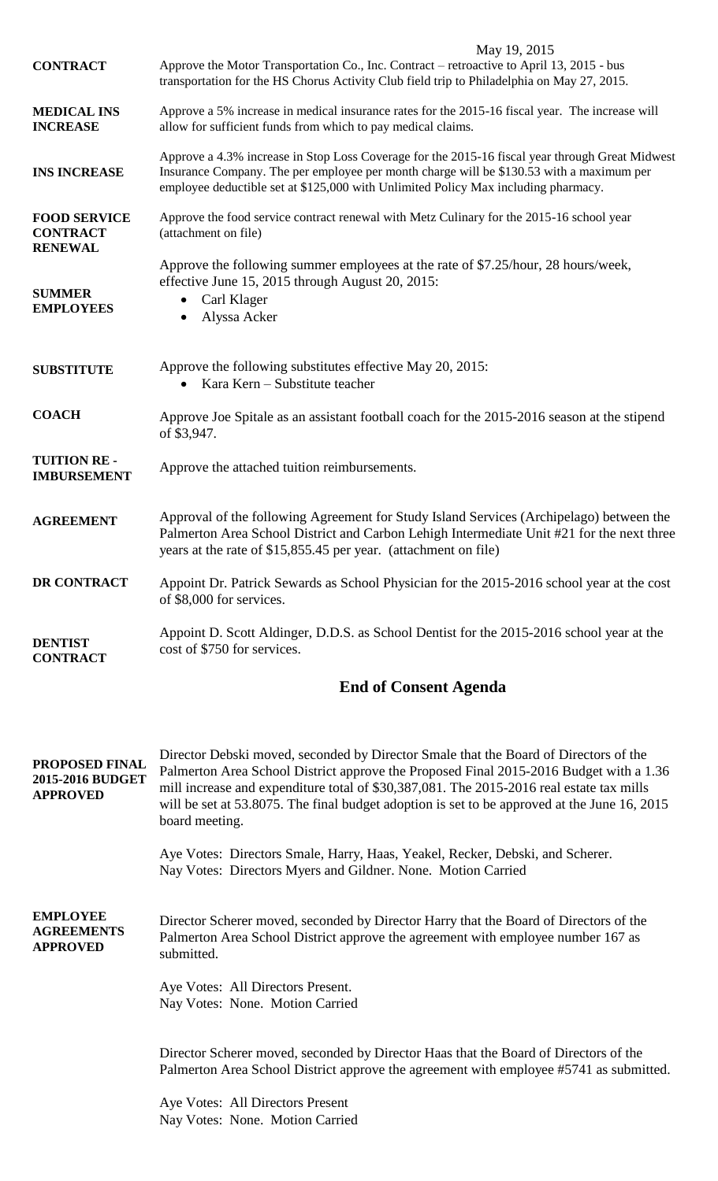|                                                              | May 19, 2015                                                                                                                                                                                                                                                                                                                                                                                 |
|--------------------------------------------------------------|----------------------------------------------------------------------------------------------------------------------------------------------------------------------------------------------------------------------------------------------------------------------------------------------------------------------------------------------------------------------------------------------|
| <b>CONTRACT</b>                                              | Approve the Motor Transportation Co., Inc. Contract - retroactive to April 13, 2015 - bus<br>transportation for the HS Chorus Activity Club field trip to Philadelphia on May 27, 2015.                                                                                                                                                                                                      |
| <b>MEDICAL INS</b><br><b>INCREASE</b>                        | Approve a 5% increase in medical insurance rates for the 2015-16 fiscal year. The increase will<br>allow for sufficient funds from which to pay medical claims.                                                                                                                                                                                                                              |
| <b>INS INCREASE</b>                                          | Approve a 4.3% increase in Stop Loss Coverage for the 2015-16 fiscal year through Great Midwest<br>Insurance Company. The per employee per month charge will be \$130.53 with a maximum per<br>employee deductible set at \$125,000 with Unlimited Policy Max including pharmacy.                                                                                                            |
| <b>FOOD SERVICE</b><br><b>CONTRACT</b><br><b>RENEWAL</b>     | Approve the food service contract renewal with Metz Culinary for the 2015-16 school year<br>(attachment on file)                                                                                                                                                                                                                                                                             |
| <b>SUMMER</b><br><b>EMPLOYEES</b>                            | Approve the following summer employees at the rate of \$7.25/hour, 28 hours/week,<br>effective June 15, 2015 through August 20, 2015:<br>Carl Klager<br>Alyssa Acker                                                                                                                                                                                                                         |
| <b>SUBSTITUTE</b>                                            | Approve the following substitutes effective May 20, 2015:<br>Kara Kern – Substitute teacher                                                                                                                                                                                                                                                                                                  |
| <b>COACH</b>                                                 | Approve Joe Spitale as an assistant football coach for the 2015-2016 season at the stipend<br>of \$3,947.                                                                                                                                                                                                                                                                                    |
| <b>TUITION RE-</b><br><b>IMBURSEMENT</b>                     | Approve the attached tuition reimbursements.                                                                                                                                                                                                                                                                                                                                                 |
| <b>AGREEMENT</b>                                             | Approval of the following Agreement for Study Island Services (Archipelago) between the<br>Palmerton Area School District and Carbon Lehigh Intermediate Unit #21 for the next three<br>years at the rate of \$15,855.45 per year. (attachment on file)                                                                                                                                      |
| <b>DR CONTRACT</b>                                           | Appoint Dr. Patrick Sewards as School Physician for the 2015-2016 school year at the cost<br>of \$8,000 for services.                                                                                                                                                                                                                                                                        |
| <b>DENTIST</b><br><b>CONTRACT</b>                            | Appoint D. Scott Aldinger, D.D.S. as School Dentist for the 2015-2016 school year at the<br>cost of \$750 for services.                                                                                                                                                                                                                                                                      |
|                                                              | <b>End of Consent Agenda</b>                                                                                                                                                                                                                                                                                                                                                                 |
| <b>PROPOSED FINAL</b><br>2015-2016 BUDGET<br><b>APPROVED</b> | Director Debski moved, seconded by Director Smale that the Board of Directors of the<br>Palmerton Area School District approve the Proposed Final 2015-2016 Budget with a 1.36<br>mill increase and expenditure total of \$30,387,081. The 2015-2016 real estate tax mills<br>will be set at 53.8075. The final budget adoption is set to be approved at the June 16, 2015<br>board meeting. |
|                                                              | Aye Votes: Directors Smale, Harry, Haas, Yeakel, Recker, Debski, and Scherer.<br>Nay Votes: Directors Myers and Gildner. None. Motion Carried                                                                                                                                                                                                                                                |
| <b>EMPLOYEE</b><br><b>AGREEMENTS</b><br><b>APPROVED</b>      | Director Scherer moved, seconded by Director Harry that the Board of Directors of the<br>Palmerton Area School District approve the agreement with employee number 167 as<br>submitted.                                                                                                                                                                                                      |
|                                                              | Aye Votes: All Directors Present.<br>Nay Votes: None. Motion Carried                                                                                                                                                                                                                                                                                                                         |
|                                                              | Director Scherer moved, seconded by Director Haas that the Board of Directors of the<br>Palmerton Area School District approve the agreement with employee #5741 as submitted.                                                                                                                                                                                                               |
|                                                              | Aye Votes: All Directors Present<br>Nay Votes: None. Motion Carried                                                                                                                                                                                                                                                                                                                          |